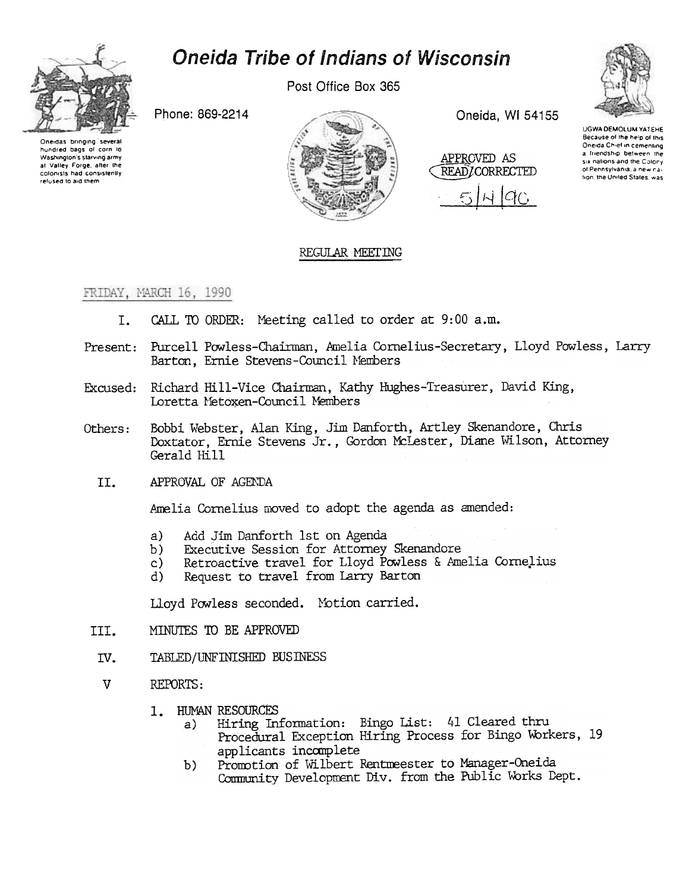

## **Oneida Tribe of Indians of Wisconsin**

Post Office Box 365

Phone: 869-2214

Oneidas bringing several hundred bags of corn to Washington's starving army at Valley Forge, after the colonists had consistently refused to aid them



Oneida, WI 54155

APPROVED AS READ/CORRECTED



UGWA DEMOLUM YATEHE Because of the help of this Oneida Chief in cementing a friendship between the six nations and the Colony of Pennsylvania, a new nation, the United States, was

## REGULAR MEETING

FRIDAY, MARCH 16, 1990

- CALL TO ORDER: Meeting called to order at 9:00 a.m. I.
- Present: Purcell Powless-Chairman, Amelia Cornelius-Secretary, Lloyd Powless, Larry Barton. Ernie Stevens-Council Members
- Excused: Richard Hill-Vice Chairman, Kathy Hughes-Treasurer, David King, Loretta Metoxen-Council Members
- Bobbi Webster, Alan King, Jim Danforth, Artley Skenandore, Chris Others: Doxtator, Ernie Stevens Jr., Gordon McLester, Diane Wilson, Attorney Gerald Hill
	- APPROVAL OF AGENDA II.

Amelia Cornelius moved to adopt the agenda as amended:

- $a)$ Add Jim Danforth 1st on Agenda
- Executive Session for Attorney Skenandore  $b)$
- Retroactive travel for Lloyd Powless & Amelia Cornelius  $\mathbf{c}$ )
- Request to travel from Larry Barton  $\mathbf{d}$

Lloyd Powless seconded. Motion carried.

- MINUTES TO BE APPROVED TTT.
- $IV.$ TABLED/UNFINISHED BUSINESS
- $\mathbf{V}$ REPORTS:
	- 1. HUMAN RESOURCES
		- Hiring Information: Bingo List: 41 Cleared thru a) Procedural Exception Hiring Process for Bingo Workers, 19 applicants incomplete
		- Promotion of Wilbert Rentmeester to Manager-Oneida  $b)$ Community Development Div. from the Public Works Dept.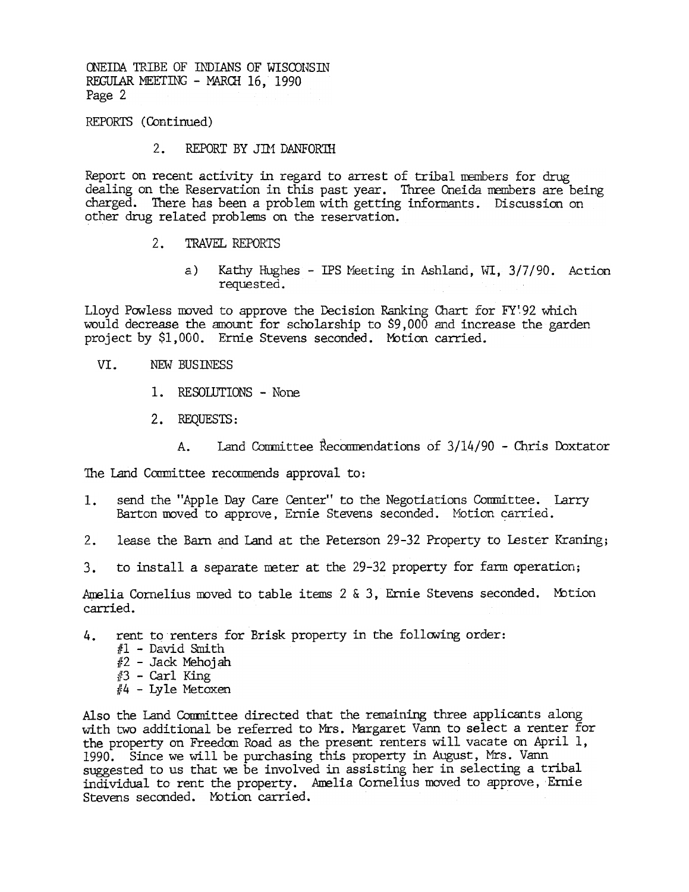REPORTS (Continued)

 $2.$ REPORT BY JIM DANFORTH

Report on recent activity in regard to arrest of tribal members for drug dealing on the Reservation in this past year. Three Oneida members are being charged. There has been a problem with getting informants. Discussion on other drug related problems on the reservation.

- $2.1$ TRAVEL REPORTS
	- a) Kathy Hughes IPS Meeting in Ashland, WI, 3/7/90. Action requested.

Lloyd Powless moved to approve the Decision Ranking Chart for FY'92 which would decrease the amount for scholarship to \$9,000 and increase the garden project by \$1,000. Ernie Stevens seconded. Mbtion carried.

- VI. NEW BUSINESS
	- 1. RESOLUTIONS None
	- 2. REQUESTS:
		- Land Committee Recommendations of  $3/14/90$  Chris Doxtator  $A_{\star}$

The Land Committee recommends approval to:

- Barton moved to approve, Ernie Stevens seconded. Motion carried.
- 
- 

Amelia Cornelius moved to table items 2 & 3, Ernie Stevens seconded. Motion carried.

- rent to renters for Brisk property in the following order: 4.
	- $#1$  David Smith
	- $#2$  Jack Mehojah
	- $#3$  Carl King
	- $#4$  Lyle Metoxen

1. send the "Apple Day Care Center" to the Negotiations Committee.<br>Barton moved to approve, Ernie Stevens seconded. Motion carri<br>2. lease the Barn and Land at the Peterson 29-32 Property to Lest<br>3. to install a separate me 2. lease the Barn and Land at the Peterson 29-32 Property to Lester Kraning<br>3. to install a separate meter at the 29-32 property for farm operation;<br>Amelia Cornelius moved to table items 2 & 3, Ernie Stevens seconded. Mot 3. to install a separate meter at the 29-32 property for farm operation<br>Amelia Cornelius moved to table items 2 & 3, Ernie Stevens seconded. Mo<br>carried.<br>4. rent to renters for Brisk property in the following order:<br> $\#1$  -Also the Land Committee directed that the remaining three applicants along with two additional be referred to Mrs. Margaret Vann to select a renter for the property on Freedom Road as the present renters will vacate on April 1, 1990. Since we will be purchasing this property in August, Mrs. Vann suggested to us that we be involved in assisting her in selecting a tribal individual to rent the property. Amelia Cornelius moved to approve, Ernie Stevens seconded. MOtion carried.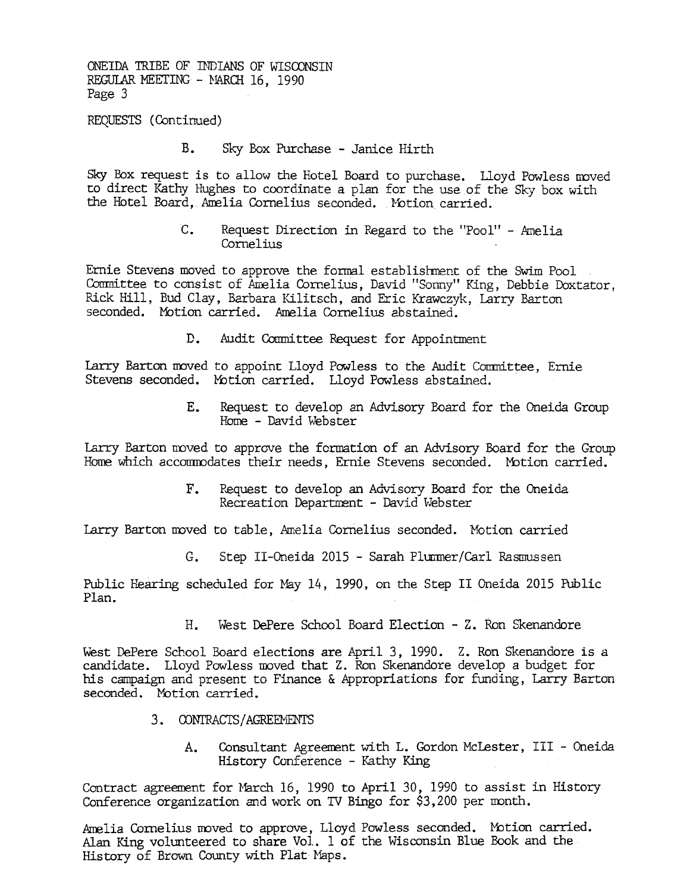REQUESTS (Continued)

B. Sky Box Purchase - Janice Hirth

Sky Box request is to allow the Hotel Board to purchase. Lloyd Powless moved to direct Kathy Hughes to coordinate a plan for the use of the Sky box with the Hotel Board, Amelia Cornelius seconded. Motion carried.

> C. Request Direction in Regard to the "Pool" - Amel Cornelius

Ernie Stevens moved to approve the formal establishment of the Swim Pool Committee to consist of Amelia Cornelius, David "Sonny" King, Debbie Doxtator, Rick Hill, Bud Clay, Barbara Kilitsch, and Eric Krawczyk, Larry Barton seconded. Motion carried. Amelia Cornelius abstained.

> $D_{\bullet}$ Audit Committee Request for Appointment

Larry Barton moved to appoint Lloyd Powless to the Audit Committee, Ernie Stevens seconded. Motion carried. Lloyd Powless abstained.

> $\mathbf{F}$ . Request to develop an Advisory Board for the Oneida Group Home - David Webster

Larry Barton moved to approve the formation of an Advisory Board for the Group Home which accommodates their needs, Ernie Stevens seconded. Motion carried.

Recreation Department - David Webster

Larry Barton moved to table. Amelia Cornelius seconded. Motion carried

G. Step II-Oneida 2015 - Sarah Plurmer/Carl Rasmussen

Public Hearing scheduled for May 14, 1990, on the Step II Oneida 2015 Public Plan.

West DePere School Board Election - Z. Ron Skenandore

F. Request to develop an Advisory Board for the Oneida<br>Recreation Department - David Webster<br>Larry Barton moved to table, Amelia Cornelius seconded. Motion carried<br>G. Step II-Oneida 2015 - Sarah Plurmer/Carl Rasmussen<br>Publ West DePere School Board elections are April 3, 1990. Z. Ron Skenandore is a candidate. Lloyd Powless moved that Z. Ron Skenandore develop a budget for the conded. Motion carried.<br>3. CONTRACTS/AGREMENTS<br>4. Consultant Agree candidate. Lloyd Powless moved that Z. Ron Skenandore develop a budget for his campaign and present to Finance & Appropriations for funding, Larry Barton seconded. Motion carried.

- 3. CONTRACTS/AGREEMENTS
	- Consultant Agreement with L. Gordon McLester, III Oneida History Conference - Kathy King A.

Contract agreement for March 16, 1990 to April 30, 1990 to assist in History Conference organization and work on TV Bingo for \$3,200 per month.

Amelia Cornelius moved to approve, Lloyd Powless seconded. Mbtion carried. Alan King volunteered to share Vol. 1 of the Wisconsin Blue Book and the History of Brown County with Plat Maps.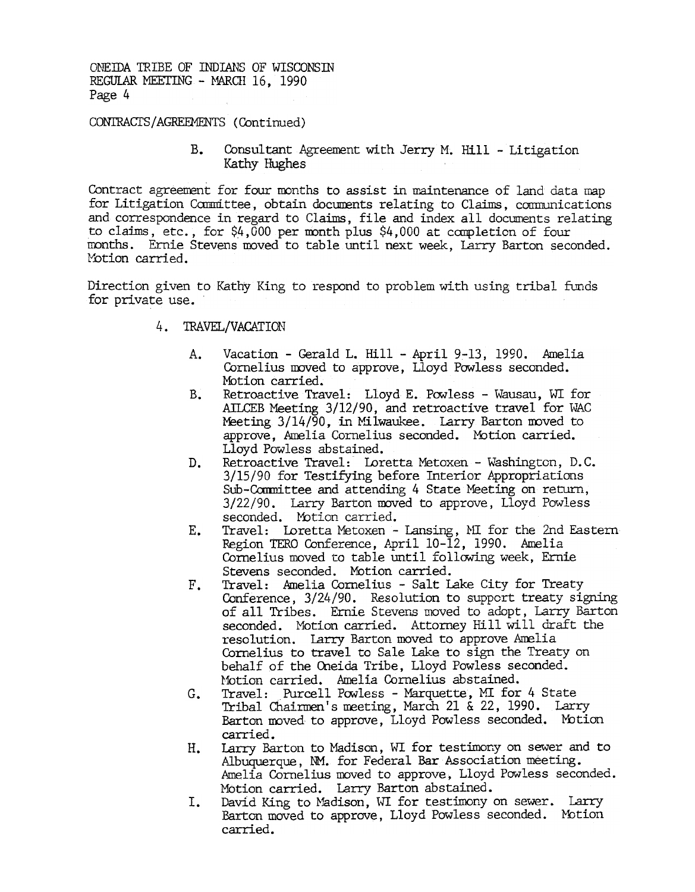CONTRACTS / AGREEMENTS (Continued)

 $B_{-}$ Consultant Agreement with Jerry M. Hill - Litigation Kathy Hughes

Contract agreement for four months to assist in maintenance of land data map for Litigation Committee, obtain documents relating to Claims, communications and correspondence in regard to Claims, file and index all documents relating to claims, etc., for  $$4,000$  per month plus  $$4,000$  at completion of four months. Ernie Stevens moved to table until next week, Larry Barton seconded. l'btion carried.

Direction given to Kathy King to respond to problem with using tribal funds for private use.

- 4. TRAVEL/VACATION
	- A. Vacation - Gerald L. Hill - April 9-13, 1990. Amelia Cornelius moved to approve, Lloyd Powless seconded. Motion carried.
	- B. Retroactive Travel: Lloyd E. Powless - Wausau, WI for AILCEB Meeting 3/12/90, and retroactive travel for WAC Meeting  $3/14/\overline{90}$ , in Milwaukee. Larry Barton moved to approve, Amelia Cornelius seconded. MOtion carried. Lloyd Powless abstained.
	- D. Retroactive Travel: Loretta Metoxen - Washington, D.C. 3/15/90 for Testifying before Interior Appropriations Sub-Committee and attending 4 State Meeting on return, 3/22/90. Larry Barton moved to approve, Lloyd Powless seconded. Motion carried.
	- $E_{\bullet}$ Travel: Loretta Metoxen - Lansing, MI for the 2nd Eastern Region TERO Conference, April 10-12, 1990. Amelia Cornelius moved to table until following week, Ernie Stevens seconded. Motion carried.
	- F. Travel: Amelia Cornelius - Salt Lake City for Treaty Conference, 3/24/90. Resolution to support treaty signing of all Tribes. Ernie Stevens moved to adopt, Larry Barton seconded. Motion carried. Attorney Hill will draft the resolution. Larry Barton moved to approve Amelia Cornelius to travel to Sale lake to sign the Treaty on behalf of the Oneida Tribe, Lloyd Powless seconded. Motion carried. Amelia Cornelius abstained.
	- Travel: Purcell Powless Marquette, MI for 4 State Tribal Chairmen's meeting, March 21 & 22, 1990. Larry  $G_{\bullet}$ Barton moved to approve, Lloyd Powless seconded. Motion carried.
	- H. Larry Barton to Madison, WI for testimory on sewer and to Albuquerque, NM. for Federal Bar Association meeting. Amelia Cornelius moved to approve, Lloyd Powless seconded. Motion carried. Larry Barton abstained.
	- I. David King to Madison, WI for testimony on sewer. Larry Barton moved to approve, Lloyd Powless seconded. Motion carried.